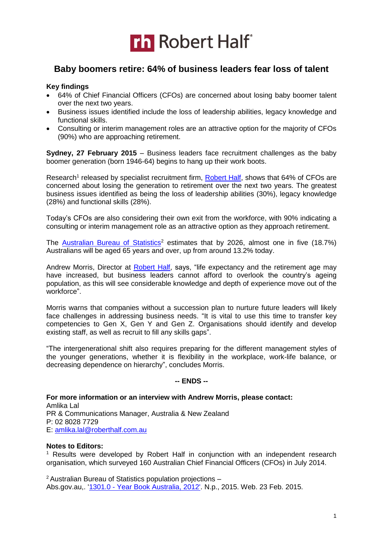

## **Baby boomers retire: 64% of business leaders fear loss of talent**

### **Key findings**

- 64% of Chief Financial Officers (CFOs) are concerned about losing baby boomer talent over the next two years.
- Business issues identified include the loss of leadership abilities, legacy knowledge and functional skills.
- Consulting or interim management roles are an attractive option for the majority of CFOs (90%) who are approaching retirement.

**Sydney, 27 February 2015** – Business leaders face recruitment challenges as the baby boomer generation (born 1946-64) begins to hang up their work boots.

Research<sup>1</sup> released by specialist recruitment firm, [Robert Half,](http://www.roberthalf.com.au/?utm_source=PR&utm_medium=PressRealease&utm_term=BabyBoomers&utm_campaign=Baby%20Boomers%20Press%20Release) shows that 64% of CFOs are concerned about losing the generation to retirement over the next two years. The greatest business issues identified as being the loss of leadership abilities (30%), legacy knowledge (28%) and functional skills (28%).

Today's CFOs are also considering their own exit from the workforce, with 90% indicating a consulting or interim management role as an attractive option as they approach retirement.

The [Australian Bureau of Statistics](http://www.abs.gov.au/ausstats/abs@.nsf/Lookup/by%20Subject/1301.0~2012~Main%20Features~Population%20projections~48)<sup>2</sup> estimates that by 2026, almost one in five  $(18.7%)$ Australians will be aged 65 years and over, up from around 13.2% today.

Andrew Morris, Director at [Robert Half,](http://www.roberthalf.com.au/?utm_source=PR&utm_medium=PressRealease&utm_term=BabyBoomers&utm_campaign=Baby%20Boomers%20Press%20Release) says, "life expectancy and the retirement age may have increased, but business leaders cannot afford to overlook the country's ageing population, as this will see considerable knowledge and depth of experience move out of the workforce".

Morris warns that companies without a succession plan to nurture future leaders will likely face challenges in addressing business needs. "It is vital to use this time to transfer key competencies to Gen X, Gen Y and Gen Z. Organisations should identify and develop existing staff, as well as recruit to fill any skills gaps".

"The intergenerational shift also requires preparing for the different management styles of the younger generations, whether it is flexibility in the workplace, work-life balance, or decreasing dependence on hierarchy", concludes Morris.

#### **-- ENDS --**

**For more information or an interview with Andrew Morris, please contact:**  Amlika Lal PR & Communications Manager, Australia & New Zealand P: 02 8028 7729 E: [amlika.lal@roberthalf.com.au](mailto:amlika.lal@roberthalf.com.au)

#### **Notes to Editors:**

<sup>1</sup> Results were developed by Robert Half in conjunction with an independent research organisation, which surveyed 160 Australian Chief Financial Officers (CFOs) in July 2014.

 $2$  Australian Bureau of Statistics population projections  $-$ Abs.gov.au,. '1301.0 - [Year Book Australia, 2012'.](http://www.abs.gov.au/ausstats/abs@.nsf/Lookup/by%20Subject/1301.0~2012~Main%20Features~Population%20projections~48) N.p., 2015. Web. 23 Feb. 2015.